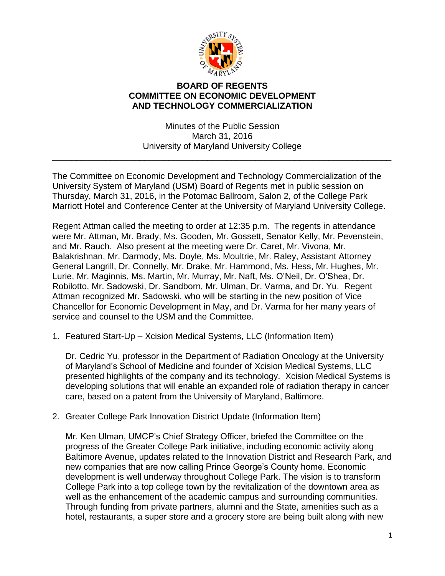

## **BOARD OF REGENTS COMMITTEE ON ECONOMIC DEVELOPMENT AND TECHNOLOGY COMMERCIALIZATION**

Minutes of the Public Session March 31, 2016 University of Maryland University College

\_\_\_\_\_\_\_\_\_\_\_\_\_\_\_\_\_\_\_\_\_\_\_\_\_\_\_\_\_\_\_\_\_\_\_\_\_\_\_\_\_\_\_\_\_\_\_\_\_\_\_\_\_\_\_\_\_\_\_\_\_\_\_\_\_\_\_\_\_\_

The Committee on Economic Development and Technology Commercialization of the University System of Maryland (USM) Board of Regents met in public session on Thursday, March 31, 2016, in the Potomac Ballroom, Salon 2, of the College Park Marriott Hotel and Conference Center at the University of Maryland University College.

Regent Attman called the meeting to order at 12:35 p.m. The regents in attendance were Mr. Attman, Mr. Brady, Ms. Gooden, Mr. Gossett, Senator Kelly, Mr. Pevenstein, and Mr. Rauch. Also present at the meeting were Dr. Caret, Mr. Vivona, Mr. Balakrishnan, Mr. Darmody, Ms. Doyle, Ms. Moultrie, Mr. Raley, Assistant Attorney General Langrill, Dr. Connelly, Mr. Drake, Mr. Hammond, Ms. Hess, Mr. Hughes, Mr. Lurie, Mr. Maginnis, Ms. Martin, Mr. Murray, Mr. Naft, Ms. O'Neil, Dr. O'Shea, Dr. Robilotto, Mr. Sadowski, Dr. Sandborn, Mr. Ulman, Dr. Varma, and Dr. Yu. Regent Attman recognized Mr. Sadowski, who will be starting in the new position of Vice Chancellor for Economic Development in May, and Dr. Varma for her many years of service and counsel to the USM and the Committee.

1. Featured Start-Up – Xcision Medical Systems, LLC (Information Item)

Dr. Cedric Yu, professor in the Department of Radiation Oncology at the University of Maryland's School of Medicine and founder of Xcision Medical Systems, LLC presented highlights of the company and its technology. Xcision Medical Systems is developing solutions that will enable an expanded role of radiation therapy in cancer care, based on a patent from the University of Maryland, Baltimore.

2. Greater College Park Innovation District Update (Information Item)

Mr. Ken Ulman, UMCP's Chief Strategy Officer, briefed the Committee on the progress of the Greater College Park initiative, including economic activity along Baltimore Avenue, updates related to the Innovation District and Research Park, and new companies that are now calling Prince George's County home. Economic development is well underway throughout College Park. The vision is to transform College Park into a top college town by the revitalization of the downtown area as well as the enhancement of the academic campus and surrounding communities. Through funding from private partners, alumni and the State, amenities such as a hotel, restaurants, a super store and a grocery store are being built along with new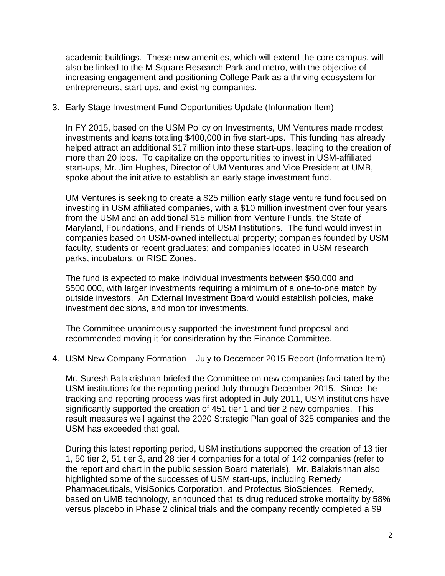academic buildings. These new amenities, which will extend the core campus, will also be linked to the M Square Research Park and metro, with the objective of increasing engagement and positioning College Park as a thriving ecosystem for entrepreneurs, start-ups, and existing companies.

3. Early Stage Investment Fund Opportunities Update (Information Item)

In FY 2015, based on the USM Policy on Investments, UM Ventures made modest investments and loans totaling \$400,000 in five start-ups. This funding has already helped attract an additional \$17 million into these start-ups, leading to the creation of more than 20 jobs. To capitalize on the opportunities to invest in USM-affiliated start-ups, Mr. Jim Hughes, Director of UM Ventures and Vice President at UMB, spoke about the initiative to establish an early stage investment fund.

UM Ventures is seeking to create a \$25 million early stage venture fund focused on investing in USM affiliated companies, with a \$10 million investment over four years from the USM and an additional \$15 million from Venture Funds, the State of Maryland, Foundations, and Friends of USM Institutions. The fund would invest in companies based on USM-owned intellectual property; companies founded by USM faculty, students or recent graduates; and companies located in USM research parks, incubators, or RISE Zones.

The fund is expected to make individual investments between \$50,000 and \$500,000, with larger investments requiring a minimum of a one-to-one match by outside investors. An External Investment Board would establish policies, make investment decisions, and monitor investments.

The Committee unanimously supported the investment fund proposal and recommended moving it for consideration by the Finance Committee.

4. USM New Company Formation – July to December 2015 Report (Information Item)

Mr. Suresh Balakrishnan briefed the Committee on new companies facilitated by the USM institutions for the reporting period July through December 2015. Since the tracking and reporting process was first adopted in July 2011, USM institutions have significantly supported the creation of 451 tier 1 and tier 2 new companies. This result measures well against the 2020 Strategic Plan goal of 325 companies and the USM has exceeded that goal.

During this latest reporting period, USM institutions supported the creation of 13 tier 1, 50 tier 2, 51 tier 3, and 28 tier 4 companies for a total of 142 companies (refer to the report and chart in the public session Board materials). Mr. Balakrishnan also highlighted some of the successes of USM start-ups, including Remedy Pharmaceuticals, VisiSonics Corporation, and Profectus BioSciences. Remedy, based on UMB technology, announced that its drug reduced stroke mortality by 58% versus placebo in Phase 2 clinical trials and the company recently completed a \$9